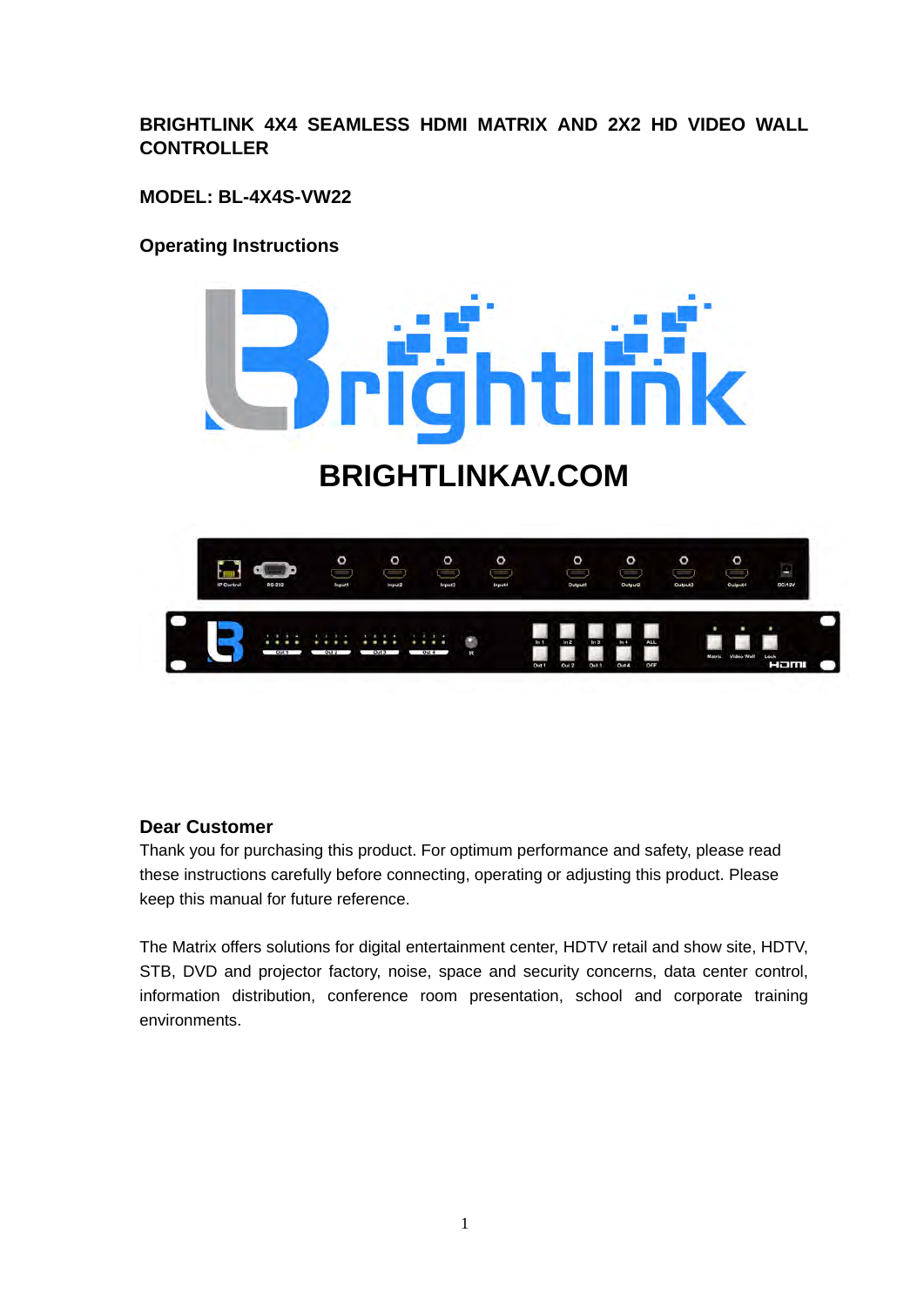# **BRIGHTLINK 4X4 SEAMLESS HDMI MATRIX AND 2X2 HD VIDEO WALL CONTROLLER**

**MODEL: BL-4X4S-VW22**

## **Operating Instructions**



# **BRIGHTLINKAV.COM**



### **Dear Customer**

Thank you for purchasing this product. For optimum performance and safety, please read these instructions carefully before connecting, operating or adjusting this product. Please keep this manual for future reference.

The Matrix offers solutions for digital entertainment center, HDTV retail and show site, HDTV, STB, DVD and projector factory, noise, space and security concerns, data center control, information distribution, conference room presentation, school and corporate training environments.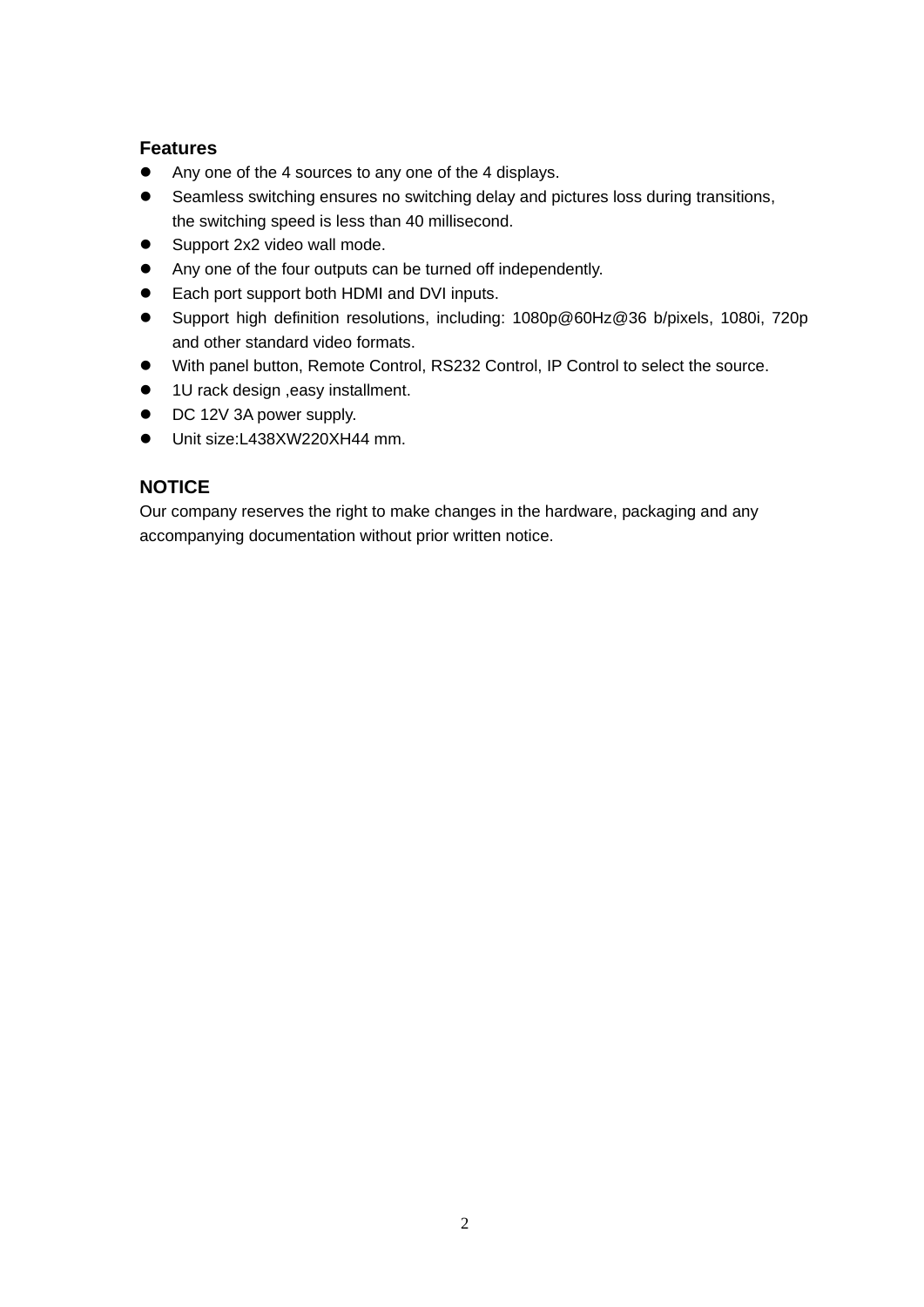### **Features**

- Any one of the 4 sources to any one of the 4 displays.
- Seamless switching ensures no switching delay and pictures loss during transitions, the switching speed is less than 40 millisecond.
- Support 2x2 video wall mode.
- Any one of the four outputs can be turned off independently.
- Each port support both HDMI and DVI inputs.
- Support high definition resolutions, including: 1080p@60Hz@36 b/pixels, 1080i, 720p and other standard video formats.
- With panel button, Remote Control, RS232 Control, IP Control to select the source.
- 1U rack design , easy installment.
- DC 12V 3A power supply.
- Unit size:L438XW220XH44 mm.

### **NOTICE**

Our company reserves the right to make changes in the hardware, packaging and any accompanying documentation without prior written notice.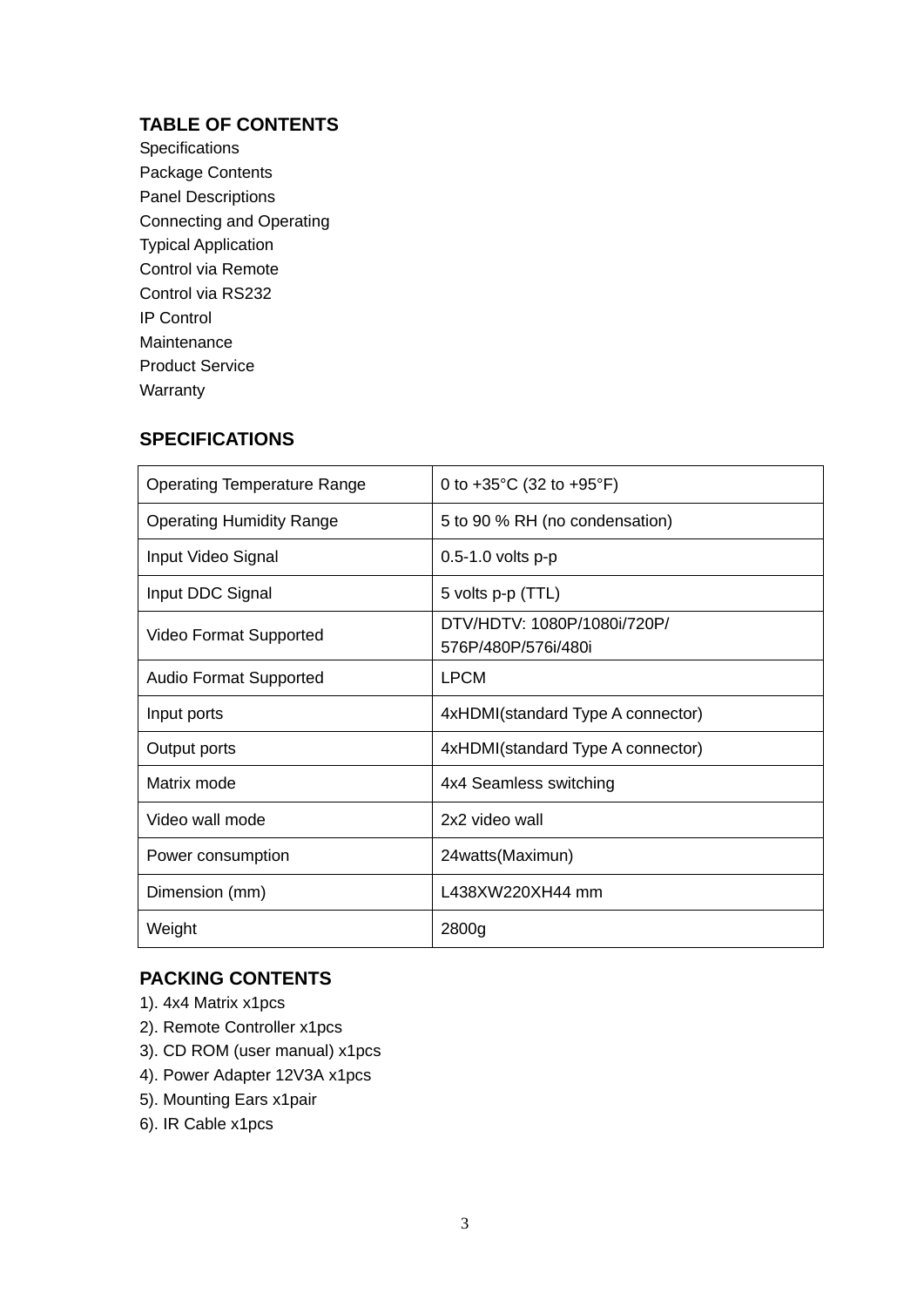# **TABLE OF CONTENTS**

**Specifications** Package Contents Panel Descriptions Connecting and Operating Typical Application Control via Remote Control via RS232 IP Control Maintenance Product Service Warranty

### **SPECIFICATIONS**

| <b>Operating Temperature Range</b> | 0 to +35 $^{\circ}$ C (32 to +95 $^{\circ}$ F)     |  |  |  |
|------------------------------------|----------------------------------------------------|--|--|--|
| <b>Operating Humidity Range</b>    | 5 to 90 % RH (no condensation)                     |  |  |  |
| Input Video Signal                 | 0.5-1.0 volts p-p                                  |  |  |  |
| Input DDC Signal                   | 5 volts p-p (TTL)                                  |  |  |  |
| Video Format Supported             | DTV/HDTV: 1080P/1080i/720P/<br>576P/480P/576i/480i |  |  |  |
| <b>Audio Format Supported</b>      | <b>LPCM</b>                                        |  |  |  |
| Input ports                        | 4xHDMI(standard Type A connector)                  |  |  |  |
| Output ports                       | 4xHDMI(standard Type A connector)                  |  |  |  |
| Matrix mode                        | 4x4 Seamless switching                             |  |  |  |
| Video wall mode                    | 2x2 video wall                                     |  |  |  |
| Power consumption                  | 24watts(Maximun)                                   |  |  |  |
| Dimension (mm)                     | L438XW220XH44 mm                                   |  |  |  |
| Weight                             | 2800g                                              |  |  |  |

### **PACKING CONTENTS**

- 1). 4x4 Matrix x1pcs
- 2). Remote Controller x1pcs
- 3). CD ROM (user manual) x1pcs
- 4). Power Adapter 12V3A x1pcs
- 5). Mounting Ears x1pair
- 6). IR Cable x1pcs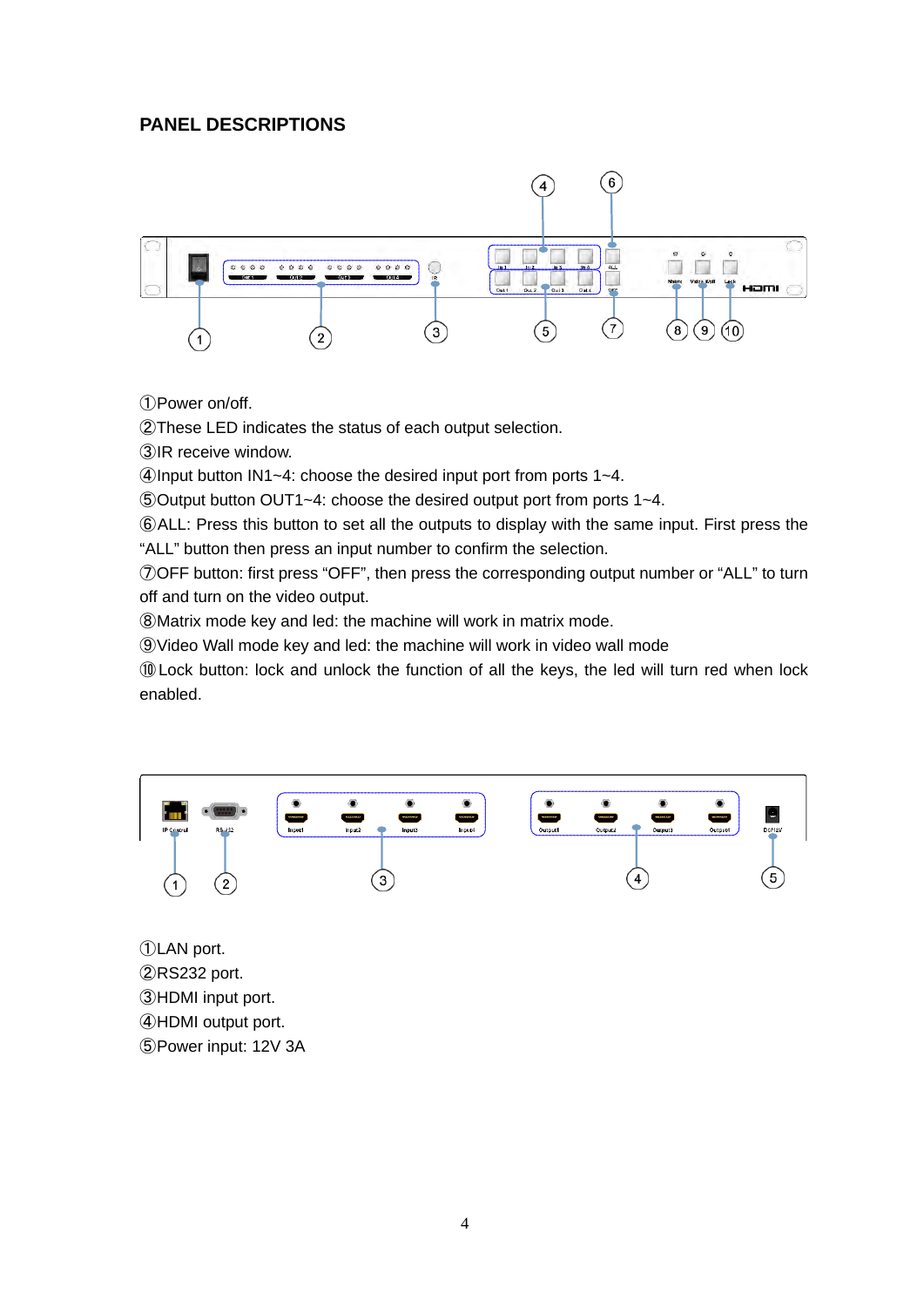# **PANEL DESCRIPTIONS**



Power on/off.

These LED indicates the status of each output selection.

IR receive window.

Input button IN1~4: choose the desired input port from ports 1~4.

Output button OUT1~4: choose the desired output port from ports 1~4.

ALL: Press this button to set all the outputs to display with the same input. First press the "ALL" button then press an input number to confirm the selection.

OFF button: first press "OFF", then press the corresponding output number or "ALL" to turn off and turn on the video output.

Matrix mode key and led: the machine will work in matrix mode.

Video Wall mode key and led: the machine will work in video wall mode

Lock button: lock and unlock the function of all the keys, the led will turn red when lock enabled.



RS232 port. HDMI input port. HDMI output port. Power input: 12V 3A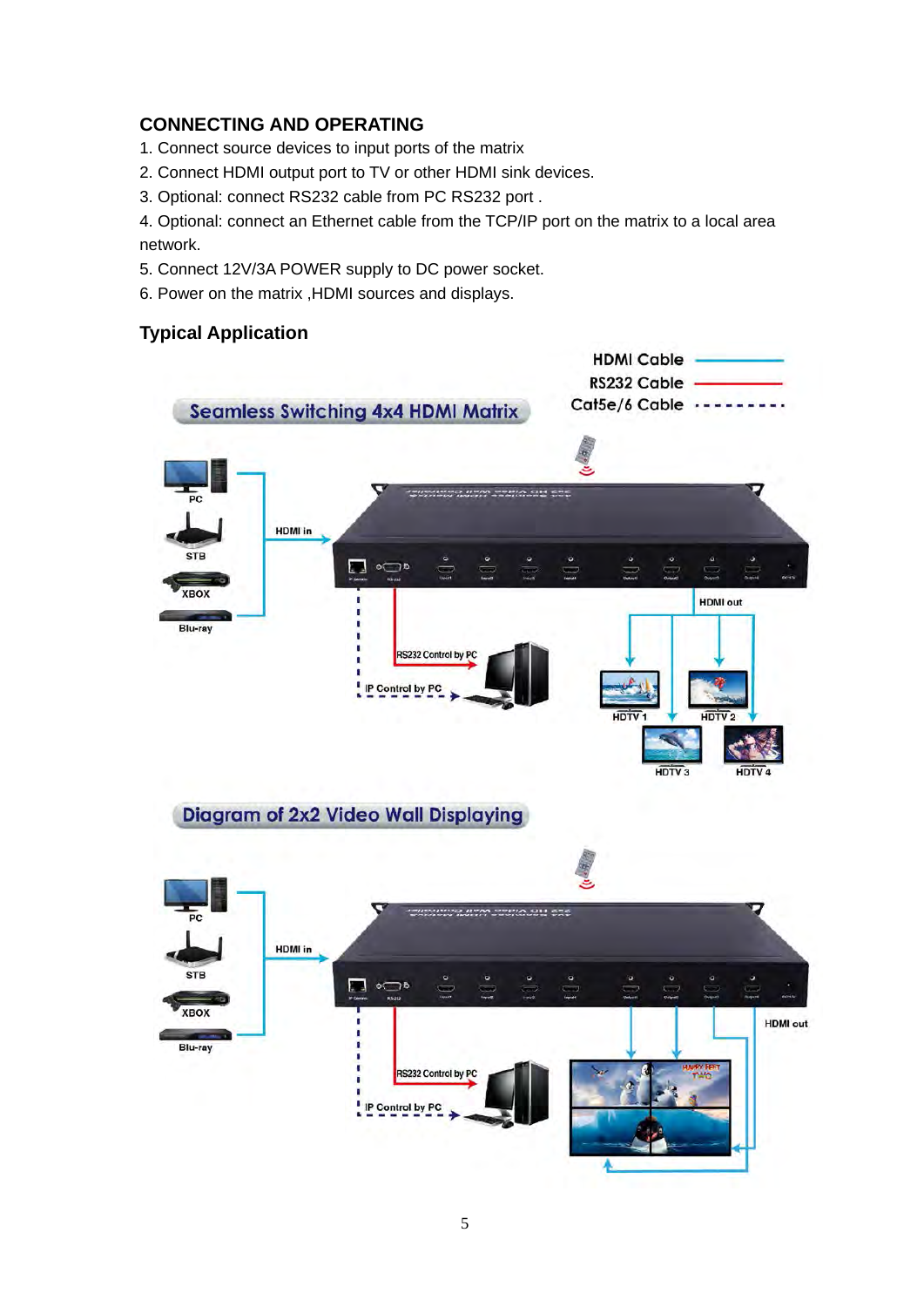# **CONNECTING AND OPERATING**

- 1. Connect source devices to input ports of the matrix
- 2. Connect HDMI output port to TV or other HDMI sink devices.
- 3. Optional: connect RS232 cable from PC RS232 port .

4. Optional: connect an Ethernet cable from the TCP/IP port on the matrix to a local area network.

- 5. Connect 12V/3A POWER supply to DC power socket.
- 6. Power on the matrix ,HDMI sources and displays.

### **Typical Application**

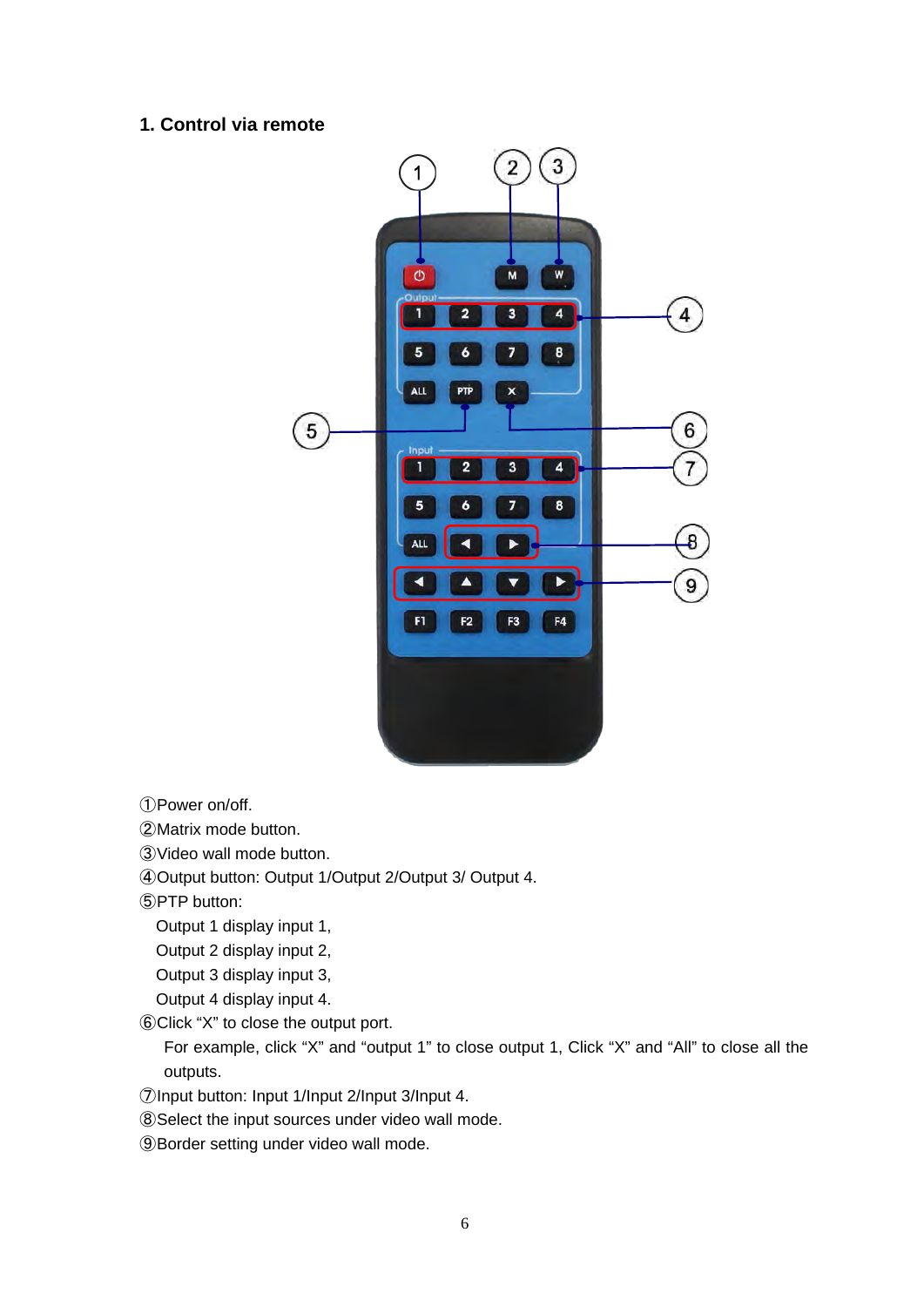### **1. Control via remote**



①Power on/off.

②Matrix mode button.

③Video wall mode button.

④Output button: Output 1/Output 2/Output 3/ Output 4.

⑤PTP button:

Output 1 display input 1,

Output 2 display input 2,

Output 3 display input 3,

Output 4 display input 4.

⑥Click "X" to close the output port.

For example, click "X" and "output 1" to close output 1, Click "X" and "All" to close all the outputs.

⑦Input button: Input 1/Input 2/Input 3/Input 4.

⑧Select the input sources under video wall mode.

⑨Border setting under video wall mode.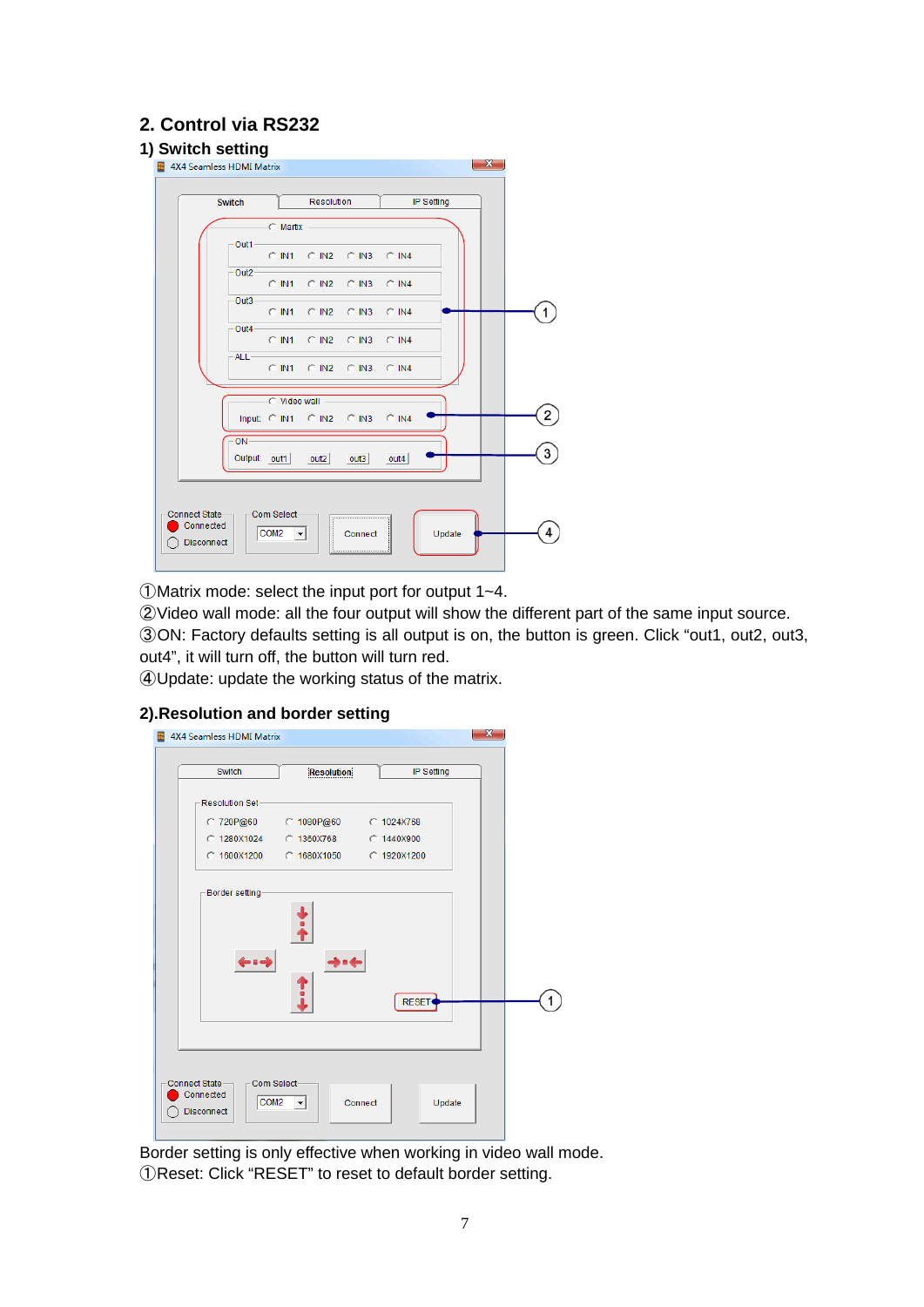# **2. Control via RS232**



①Matrix mode: select the input port for output 1~4.

②Video wall mode: all the four output will show the different part of the same input source. ③ON: Factory defaults setting is all output is on, the button is green. Click "out1, out2, out3, out4", it will turn off, the button will turn red.

④Update: update the working status of the matrix.

### **2).Resolution and border setting**

| 4X4 Seamless HDMI Matrix                                                    |                                |              | x |
|-----------------------------------------------------------------------------|--------------------------------|--------------|---|
| Switch                                                                      | <b>Resolution</b>              | IP Setting   |   |
| Resolution Set-                                                             |                                |              |   |
| C 720P@60                                                                   | C 1080P@60 C 1024X768          |              |   |
| C 1280X1024 C 1360X768                                                      |                                | C 1440X900   |   |
|                                                                             |                                |              |   |
| Border setting                                                              |                                | <b>RESET</b> |   |
| Com Select-<br>Connect State<br>Connected<br>COM <sub>2</sub><br>Disconnect | $\vert \cdot \vert$<br>Connect | Update       |   |

Border setting is only effective when working in video wall mode. ①Reset: Click "RESET" to reset to default border setting.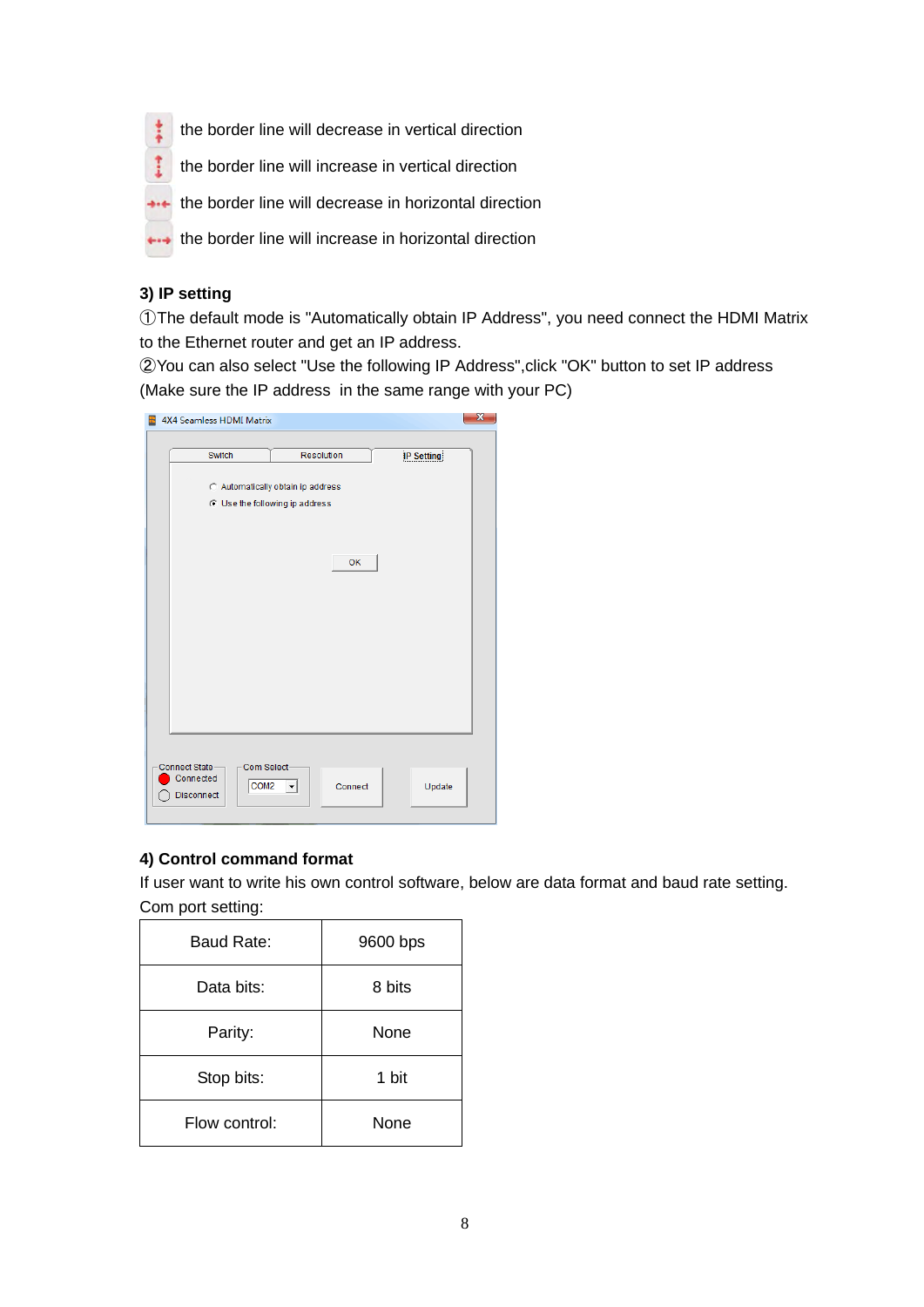the border line will decrease in vertical direction

the border line will increase in vertical direction

**\*\*\*** the border line will decrease in horizontal direction

the border line will increase in horizontal direction

### **3) IP setting**

 $\ddot{\ddot{i}}$ 

t

①The default mode is "Automatically obtain IP Address", you need connect the HDMI Matrix to the Ethernet router and get an IP address.

②You can also select "Use the following IP Address",click "OK" button to set IP address (Make sure the IP address in the same range with your PC)

| 4X4 Seamless HDMI Matrix                                      |                                                                         |                   |
|---------------------------------------------------------------|-------------------------------------------------------------------------|-------------------|
| Switch                                                        | <b>Resolution</b>                                                       | <b>IP Setting</b> |
|                                                               | Automatically obtain ip address<br>C Use the following ip address<br>OK |                   |
| Com Select-<br>Connect State<br>Connected<br>COM <sub>2</sub> | Connect<br>▾                                                            | Update            |

### **4) Control command format**

If user want to write his own control software, below are data format and baud rate setting. Com port setting:

| <b>Baud Rate:</b> | 9600 bps |
|-------------------|----------|
| Data bits:        | 8 bits   |
| Parity:           | None     |
| Stop bits:        | 1 bit    |
| Flow control:     | None     |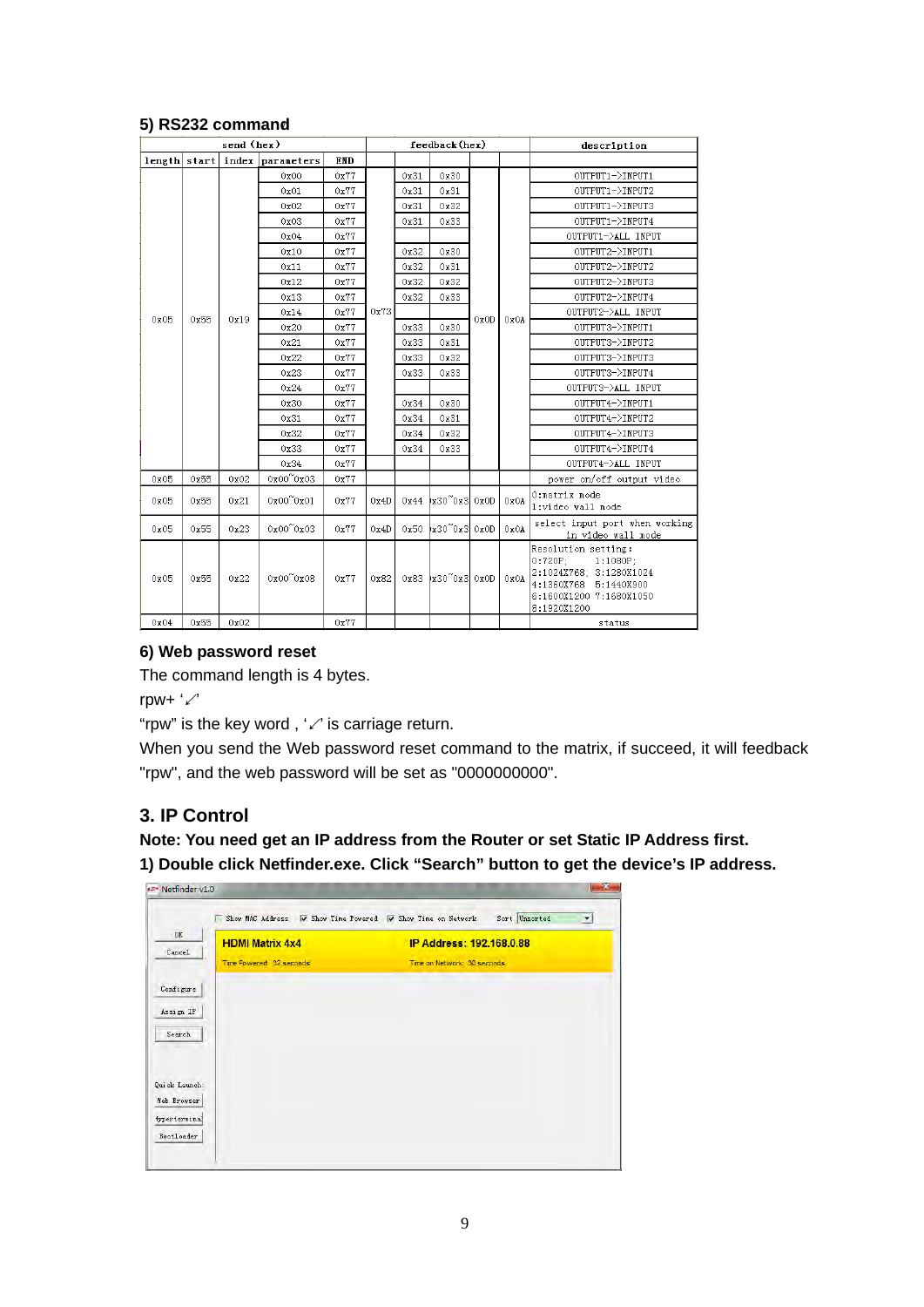|              | send (hex) |       |                           | feedback (hex) |      |      |                                    | description |      |                                                                                                                                                |
|--------------|------------|-------|---------------------------|----------------|------|------|------------------------------------|-------------|------|------------------------------------------------------------------------------------------------------------------------------------------------|
| length start |            | index | parameters                | <b>END</b>     |      |      |                                    |             |      |                                                                                                                                                |
|              |            |       | 0x00                      | 0x77           |      | 0x31 | 0x30                               |             |      | OUTPUT1->INPUT1                                                                                                                                |
|              |            |       | 0x01                      | 0x77           |      | 0x31 | 0x31                               |             |      | OUTPUT1->INPUT2                                                                                                                                |
|              |            |       | 0x02                      | 0x77           |      | 0x31 | 0x32                               |             |      | OUTPUT1->INPUT3                                                                                                                                |
|              |            |       | 0x03                      | 0x77           |      | 0x31 | 0x33                               |             |      | OUTPUT1->INPUT4                                                                                                                                |
|              |            |       | 0x04                      | 0x77           |      |      |                                    |             |      | OUTPUT1->ALL INPUT                                                                                                                             |
|              |            |       | 0x10                      | 0x77           |      | 0x32 | 0x30                               |             |      | OUTPUT2->INPUT1                                                                                                                                |
|              |            |       | 0x11                      | 0x77           |      | 0x32 | 0x31                               |             |      | OUTPUT2->INPUT2                                                                                                                                |
|              |            |       | 0x12                      | 0x77           |      | 0x32 | 0x32                               |             |      | OUTPUT2->INPUT3                                                                                                                                |
|              |            |       | 0x13                      | 0x77           |      | 0x32 | 0x33                               |             |      | OUTPUT2->INPUT4                                                                                                                                |
| 0x05         | 0x55       | 0x19  | 0x14                      | 0x77           | 0x73 |      |                                    | 0x0D        | 0x0A | OUTPUT2->ALL INPUT                                                                                                                             |
|              |            |       | 0x20                      | 0x77           |      | 0x33 | 0x30                               |             |      | OUTPUT3->INPUT1                                                                                                                                |
|              |            |       | 0x21                      | 0x77           |      | 0x33 | 0x31                               |             |      | OUTPUT3->INPUT2                                                                                                                                |
|              |            |       | 0x22                      | 0x77           |      | 0x33 | 0x32                               |             |      | OUTPUT3->INPUT3                                                                                                                                |
|              |            |       | 0x23                      | 0x77           |      | 0x33 | 0x33                               |             |      | OUTPUT3->INPUT4                                                                                                                                |
|              |            |       | 0x24                      | 0x77           |      |      |                                    |             |      | OUTPUT3->ALL INPUT                                                                                                                             |
|              |            |       | 0x30                      | 0x77           |      | 0x34 | 0x30                               |             |      | OUTPUT4->INPUT1                                                                                                                                |
|              |            |       | 0x31                      | 0x77           |      | 0x34 | 0x31                               |             |      | OUTPUT4->INPUT2                                                                                                                                |
|              |            |       | 0x32                      | 0x77           |      | 0x34 | 0x32                               |             |      | OUTPUT4->INPUT3                                                                                                                                |
|              |            |       | 0x33                      | 0x77           |      | 0x34 | 0x33                               |             |      | OUTPUT4->INPUT4                                                                                                                                |
|              |            |       | 0x34                      | 0x77           |      |      |                                    |             |      | OUTPUT4->ALL INPUT                                                                                                                             |
| 0x05         | 0x55       | 0x02  | $0x00^\circ0x03$          | 0x77           |      |      |                                    |             |      | power on/off output video                                                                                                                      |
| 0x05         | 0x55       | 0x21  | $0x00^{\prime\prime}0x01$ | 0x77           | 0x4D |      | $0x44$  x30 <sup>~</sup> 0x3  0x0D |             | 0x0A | O:matrix mode<br>1:video wall mode                                                                                                             |
| 0x05         | 0x55       | 0x23  | 0x00~0x03                 | 0x77           | 0x4D |      | 0x50 x30~0x3 0x0D                  |             | 0x0A | select input port when working<br>in video wall mode                                                                                           |
| 0x05         | 0x55       | 0x22  | $0x00^{\circ}0x08$        | 0x77           | 0x82 |      | 0x83 x30~0x3 0x0D                  |             | 0x0A | Resolution setting:<br>$0:720P$ ;<br>$1:1080P$ ;<br>2:1024X768; 3:1280X1024<br>4:1360X768 5:1440X900<br>6:1600X1200 7:1680X1050<br>8:1920X1200 |
| 0x04         | 0x55       | 0x02  |                           | 0x77           |      |      |                                    |             |      | status                                                                                                                                         |

### **5) RS232 command**

### **6) Web password reset**

The command length is 4 bytes.

rpw+ '↙'

"rpw" is the key word,  $\sqrt{'}$  is carriage return.

When you send the Web password reset command to the matrix, if succeed, it will feedback "rpw", and the web password will be set as "0000000000".

# **3. IP Control**

**Note: You need get an IP address from the Router or set Static IP Address first.**

**1) Double click Netfinder.exe. Click "Search" button to get the device's IP address.**

| $0\mathrm{K}$ | <b>HDMI Matrix 4x4</b>   | IP Address: 192.168.0.88    |
|---------------|--------------------------|-----------------------------|
| Cancel        | Time Powered: 32 seconds | Time on Network: 30 seconds |
| Configure     |                          |                             |
| Assign IP     |                          |                             |
| Search        |                          |                             |
|               |                          |                             |
| Quick Launch: |                          |                             |
| Web Browser   |                          |                             |
| (ypertermina) |                          |                             |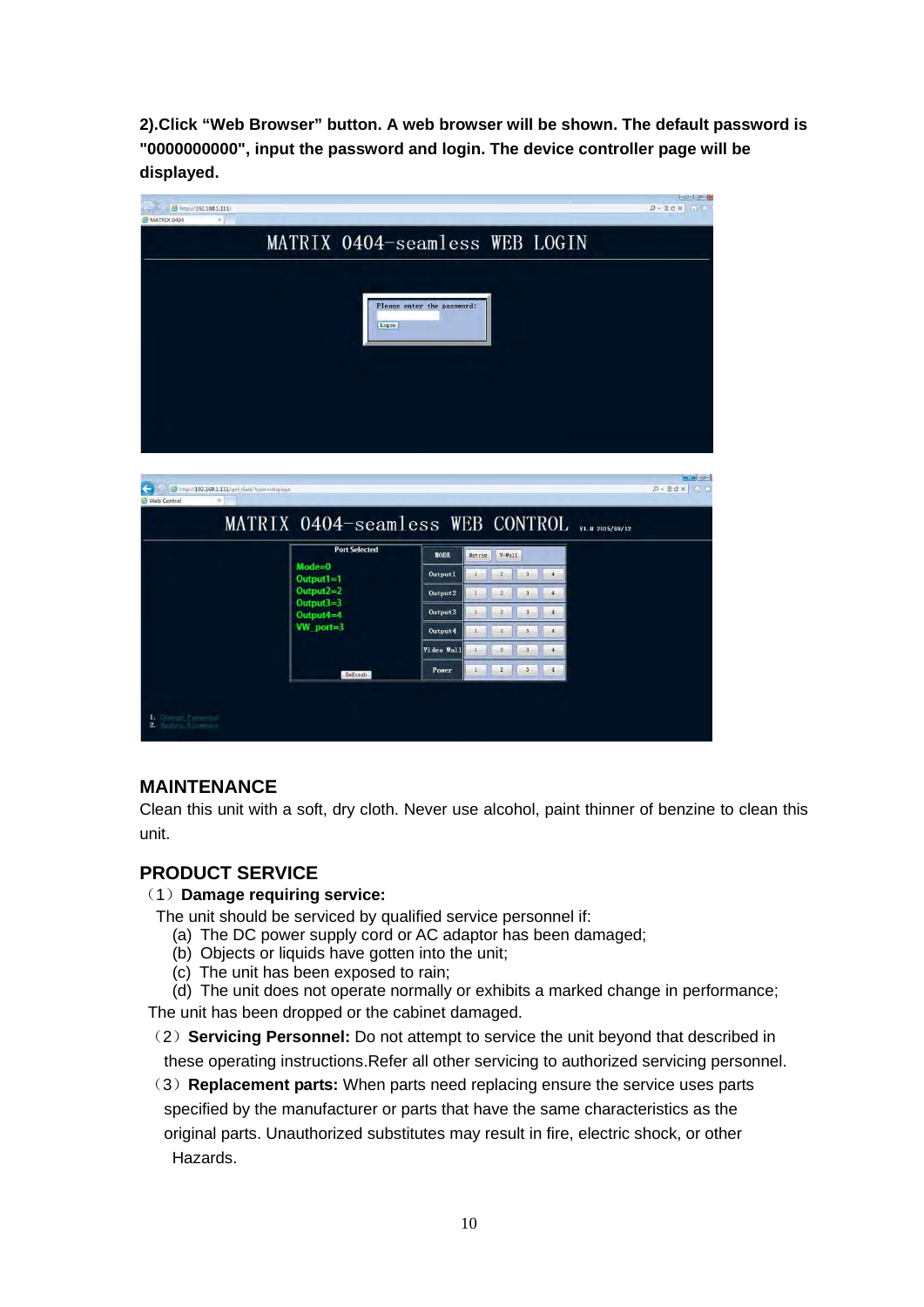**2).Click "Web Browser" button. A web browser will be shown. The default password is "0000000000", input the password and login. The device controller page will be displayed.** 



# **MAINTENANCE**

Clean this unit with a soft, dry cloth. Never use alcohol, paint thinner of benzine to clean this unit.

### **PRODUCT SERVICE**

### (1)**Damage requiring service:**

- The unit should be serviced by qualified service personnel if:
	- (a) The DC power supply cord or AC adaptor has been damaged;
	- (b) Objects or liquids have gotten into the unit;
	- (c) The unit has been exposed to rain;

(d) The unit does not operate normally or exhibits a marked change in performance; The unit has been dropped or the cabinet damaged.

(2)**Servicing Personnel:** Do not attempt to service the unit beyond that described in these operating instructions.Refer all other servicing to authorized servicing personnel.

(3)**Replacement parts:** When parts need replacing ensure the service uses parts specified by the manufacturer or parts that have the same characteristics as the original parts. Unauthorized substitutes may result in fire, electric shock, or other Hazards.